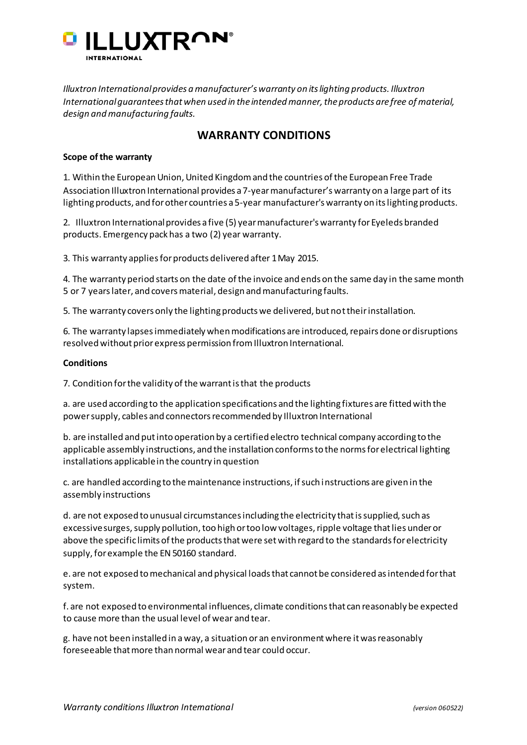

*Illuxtron International provides a manufacturer's warranty on its lighting products. Illuxtron International guarantees that when used in the intended manner, the products are free of material, design and manufacturing faults.* 

# **WARRANTY CONDITIONS**

# **Scope of the warranty**

1. Within the European Union, United Kingdom and the countries of the European Free Trade Association Illuxtron International provides a 7-year manufacturer's warranty on a large part of its lighting products, and for other countries a 5-year manufacturer's warranty on its lighting products.

2. Illuxtron International provides a five (5) year manufacturer's warranty for Eyeleds branded products. Emergency pack has a two (2) year warranty.

3. This warranty applies for products delivered after 1 May 2015.

4. The warranty period starts on the date of the invoice and ends on the same day in the same month 5 or 7 years later, and covers material, design and manufacturing faults.

5. The warranty covers only the lighting products we delivered, but not their installation.

6. The warranty lapses immediately when modifications are introduced, repairs done or disruptions resolved without prior express permission from Illuxtron International.

# **Conditions**

7. Condition for the validity of the warrant is that the products

a. are used according to the application specifications and the lighting fixtures are fitted with the power supply, cables and connectors recommended by Illuxtron International

b. are installed and put into operation by a certified electro technical company according to the applicable assembly instructions, and the installation conforms to the norms for electrical lighting installations applicable in the country in question

c. are handled according to the maintenance instructions, if such instructions are given in the assembly instructions

d. are not exposed to unusual circumstances including the electricity that is supplied, such as excessive surges, supply pollution, too high or too low voltages, ripple voltage that lies under or above the specific limits of the products that were set with regard to the standards for electricity supply, for example the EN 50160 standard.

e. are not exposed to mechanical and physical loads that cannot be considered as intended for that system.

f. are not exposed to environmental influences, climate conditions that can reasonably be expected to cause more than the usual level of wear and tear.

g. have not been installed in a way, a situation or an environment where it was reasonably foreseeable that more than normal wear and tear could occur.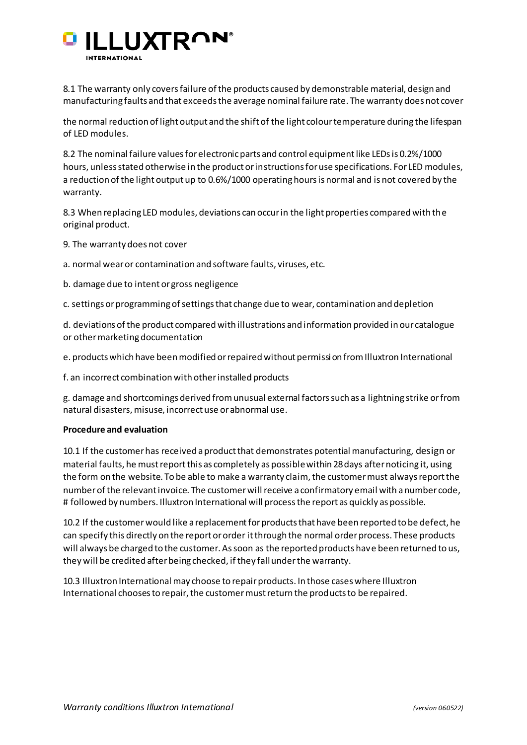

8.1 The warranty only covers failure of the products caused by demonstrable material, design and manufacturing faults and that exceeds the average nominal failure rate. The warranty does not cover

the normal reduction of light output and the shift of the light colour temperature during the lifespan of LED modules.

8.2 The nominal failure values for electronic parts and control equipment like LEDs is 0.2%/1000 hours, unless stated otherwise in the product or instructions for use specifications. For LED modules, a reduction of the light output up to 0.6%/1000 operating hours is normal and is not covered by the warranty.

8.3 When replacing LED modules, deviations can occur in the light properties compared with the original product.

9. The warranty does not cover

a. normal wear or contamination and software faults, viruses, etc.

b. damage due to intent or gross negligence

c. settings or programming of settings that change due to wear, contamination and depletion

d. deviations of the product compared with illustrations and information provided in our catalogue or other marketing documentation

e. products which have been modified or repaired without permission from Illuxtron International

f. an incorrect combination with other installed products

g. damage and shortcomings derived from unusual external factors such as a lightning strike or from natural disasters, misuse, incorrect use or abnormal use.

#### **Procedure and evaluation**

10.1 If the customer has received a product that demonstrates potential manufacturing, design or material faults, he must report this as completely as possible within 28 days after noticing it, using the form on the website. To be able to make a warranty claim, the customer must always report the number of the relevant invoice. The customer will receive a confirmatory email with a number code, # followed by numbers. Illuxtron International will process the report as quickly as possible.

10.2 If the customer would like a replacement for products that have been reported to be defect, he can specify this directly on the report or order it through the normal order process. These products will always be charged to the customer. As soon as the reported products have been returned to us, they will be credited after being checked, if they fall under the warranty.

10.3 Illuxtron International may choose to repair products. In those cases where Illuxtron International chooses to repair, the customer must return the products to be repaired.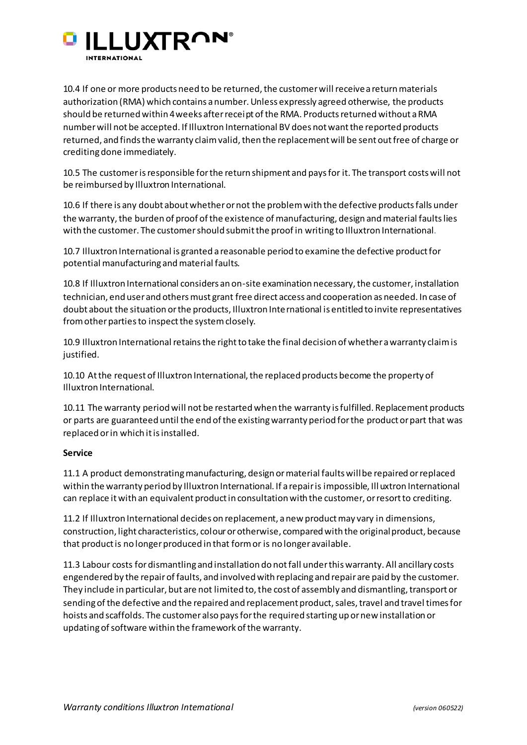

10.4 If one or more products need to be returned, the customer will receive a return materials authorization (RMA) which contains a number. Unless expressly agreed otherwise, the products should be returned within 4 weeks after receipt of the RMA. Products returned without a RMA number will not be accepted. If Illuxtron International BV does not want the reported products returned, and finds the warranty claim valid, then the replacement will be sent out free of charge or crediting done immediately.

10.5 The customer is responsible for the return shipment and pays for it. The transport costs will not be reimbursed by Illuxtron International.

10.6 If there is any doubt about whether or not the problem with the defective products falls under the warranty, the burden of proof of the existence of manufacturing, design and material faults lies with the customer. The customer should submit the proof in writing to Illuxtron International.

10.7 Illuxtron International is granted a reasonable period to examine the defective product for potential manufacturing and material faults.

10.8 If Illuxtron International considers an on-site examination necessary, the customer, installation technician, end user and others must grant free direct access and cooperation as needed. In case of doubt about the situation or the products, Illuxtron International is entitled to invite representatives from other parties to inspect the system closely.

10.9 Illuxtron International retains the right to take the final decision of whether a warranty claim is justified.

10.10 At the request of Illuxtron International, the replaced products become the property of Illuxtron International.

10.11 The warranty period will not be restarted when the warranty is fulfilled. Replacement products or parts are guaranteed until the end of the existing warranty period for the product or part that was replaced or in which it is installed.

# **Service**

11.1 A product demonstrating manufacturing, design or material faults will be repaired or replaced within the warranty period by Illuxtron International. If a repair is impossible, Illuxtron International can replace it with an equivalent product in consultation with the customer, or resort to crediting.

11.2 If Illuxtron International decides on replacement, a new product may vary in dimensions, construction, light characteristics, colour or otherwise, compared with the original product, because that product is no longer produced in that form or is no longer available.

11.3 Labour costs for dismantling and installation do not fall under this warranty. All ancillary costs engendered by the repair of faults, and involved with replacing and repair are paid by the customer. They include in particular, but are not limited to, the cost of assembly and dismantling, transport or sending of the defective and the repaired and replacement product, sales, travel and travel times for hoists and scaffolds. The customer also pays for the required starting up or new installation or updating of software within the framework of the warranty.